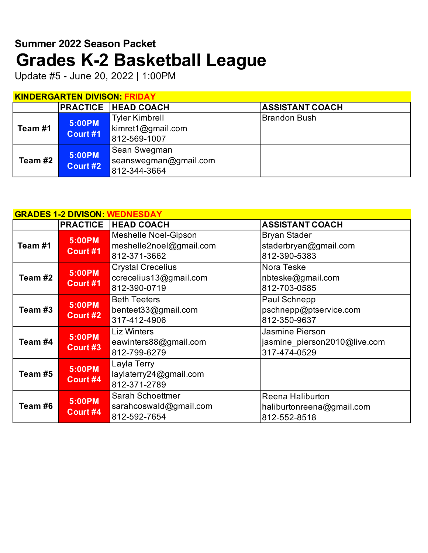# **Grades K-2 Basketball League Summer 2022 Season Packet**

Update #5 - June 20, 2022 | 1:00PM

# **KINDERGARTEN DIVISON: FRIDAY**

|         |                    | <b>PRACTICE HEAD COACH</b>                                    | <b>ASSISTANT COACH</b> |
|---------|--------------------|---------------------------------------------------------------|------------------------|
| Team #1 | 5:00PM<br>Court #1 | <b>Tyler Kimbrell</b><br>$k$ imret1@gmail.com<br>812-569-1007 | Brandon Bush           |
| Team #2 | 5:00PM<br>Court #2 | Sean Swegman<br>seanswegman@gmail.com<br>812-344-3664         |                        |

|         |          | <b>GRADES 1-2 DIVISON: WEDNESDAY</b> |                              |
|---------|----------|--------------------------------------|------------------------------|
|         |          | <b>PRACTICE HEAD COACH</b>           | <b>ASSISTANT COACH</b>       |
|         | 5:00PM   | Meshelle Noel-Gipson                 | <b>Bryan Stader</b>          |
| Team #1 |          | meshelle2noel@gmail.com              | staderbryan@gmail.com        |
|         | Court #1 | 812-371-3662                         | 812-390-5383                 |
|         | 5:00PM   | <b>Crystal Crecelius</b>             | Nora Teske                   |
| Team #2 |          | ccrecelius13@gmail.com               | nbteske@gmail.com            |
|         | Court #1 | 812-390-0719                         | 812-703-0585                 |
|         | 5:00PM   | <b>Beth Teeters</b>                  | Paul Schnepp                 |
| Team #3 |          | benteet33@gmail.com                  | pschnepp@ptservice.com       |
|         | Court #2 | 317-412-4906                         | 812-350-9637                 |
|         | 5:00PM   | <b>Liz Winters</b>                   | Jasmine Pierson              |
| Team #4 |          | eawinters88@gmail.com                | jasmine pierson2010@live.com |
|         | Court #3 | 812-799-6279                         | 317-474-0529                 |
|         |          | Layla Terry                          |                              |
| Team #5 | 5:00PM   | laylaterry24@gmail.com               |                              |
|         | Court #4 | 812-371-2789                         |                              |
|         |          | Sarah Schoettmer                     | Reena Haliburton             |
| Team #6 | 5:00PM   | sarahcoswald@gmail.com               | haliburtonreena@gmail.com    |
|         | Court #4 | 812-592-7654                         | 812-552-8518                 |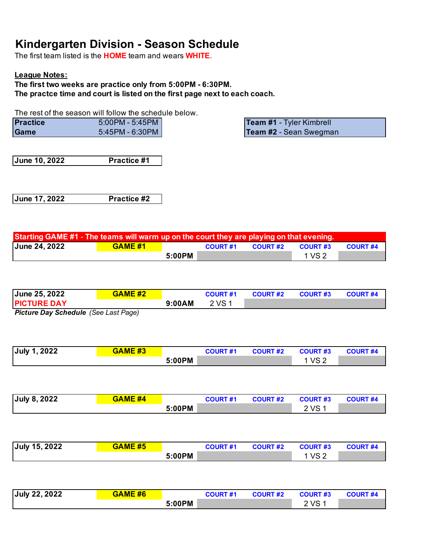## **Kindergarten Division - Season Schedule**

The first team listed is the **HOME** team and wears **WHITE**.

### **League Notes:**

**The first two weeks are practice only from 5:00PM - 6:30PM. The practce time and court is listed on the first page next to each coach.**

The rest of the season will follow the schedule below.

| <b>Practice</b> | 5:00PM - 5:45PM I  |  |
|-----------------|--------------------|--|
| <b>Game</b>     | _5:45PM - 6:30PM ∥ |  |

**Team #1 - Tyler Kimbrell** Team #2 - Sean Swegman

**June 10, 2022 Practice #1**

**June 17, 2022 Practice #2**

| Starting GAME #1 - The teams will warm up on the court they are playing on that evening. |                |        |                 |                 |         |                 |  |  |
|------------------------------------------------------------------------------------------|----------------|--------|-----------------|-----------------|---------|-----------------|--|--|
| <b>June 24, 2022</b>                                                                     | <b>GAME #1</b> |        | <b>COURT #1</b> | <b>COURT #2</b> | COURT#3 | <b>COURT #4</b> |  |  |
|                                                                                          |                | 5:00PM |                 |                 | 1 VS 2  |                 |  |  |

| June 25, 2022      | <b>GAME #2</b> |        | <b>COURT #1</b> | <b>COURT #2</b> | <b>COURT #3</b> | <b>COURT #4</b> |
|--------------------|----------------|--------|-----------------|-----------------|-----------------|-----------------|
| <b>PICTURE DAY</b> |                | 9:00AM | 2 VS 1          |                 |                 |                 |

*Picture Day Schedule (See Last Page)* 

| <b>July 1, 2022</b> | <b>GAME #3</b> |        | <b>COURT #1</b> | <b>COURT #2</b> | <b>COURT#3</b>  | <b>COURT #4</b> |
|---------------------|----------------|--------|-----------------|-----------------|-----------------|-----------------|
|                     |                | 5:00PM |                 |                 | VS <sub>2</sub> |                 |

| <b>July 8, 2022</b> | <b>GAME #4</b> |        | <b>COURT #1</b> | <b>COURT #2</b> | <b>COURT#3</b> | <b>COURT #4</b> |
|---------------------|----------------|--------|-----------------|-----------------|----------------|-----------------|
|                     |                | 5:00PM |                 |                 | 2 VS 1         |                 |

| July 15, 2022 | <b>GAME #5</b> |        | <b>COURT #1</b> | <b>COURT #2</b> | <b>COURT #3</b> | <b>COURT #4</b> |
|---------------|----------------|--------|-----------------|-----------------|-----------------|-----------------|
|               |                | 5:00PM |                 |                 | 1 VS 2          |                 |

| July 22, 2022 | <b>GAME #6</b> |        | <b>COURT #1</b> | <b>COURT #2</b> | <b>COURT#3</b> | <b>COURT #4</b> |
|---------------|----------------|--------|-----------------|-----------------|----------------|-----------------|
|               |                | 5:00PM |                 |                 | 2 VS 1         |                 |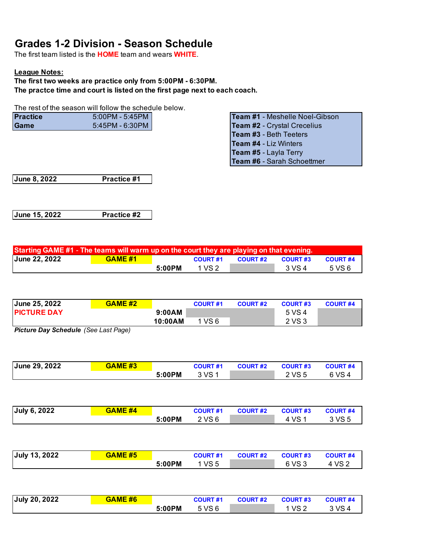### **Grades 1-2 Division - Season Schedule**

The first team listed is the **HOME** team and wears **WHITE**.

#### **League Notes:**

**The first two weeks are practice only from 5:00PM - 6:30PM. The practce time and court is listed on the first page next to each coach.**

The rest of the season will follow the schedule below.

| <b>Practice</b> | 5:00PM - 5:45PM | <b>Team #1 - Meshelle Noel-Gibson</b> |
|-----------------|-----------------|---------------------------------------|
| Game            | 5:45PM - 6:30PM | <b>Team #2 - Crystal Crecelius</b>    |

| Team #1 - Meshelle Noel-Gibson |
|--------------------------------|
| Team #2 - Crystal Crecelius    |
| Team #3 - Beth Teeters         |
| Team #4 - Liz Winters          |
| Team #5 - Layla Terry          |
| Team #6 - Sarah Schoettmer     |

**June 8, 2022 Practice #1**

**June 15, 2022 Practice #2**

| Starting GAME #1 - The teams will warm up on the court they are playing on that evening. |                |        |                 |                 |                 |                 |  |
|------------------------------------------------------------------------------------------|----------------|--------|-----------------|-----------------|-----------------|-----------------|--|
| <b>June 22, 2022</b>                                                                     | <b>GAME #1</b> |        | <b>COURT #1</b> | <b>COURT #2</b> | <b>COURT #3</b> | <b>COURT #4</b> |  |
|                                                                                          |                | 5:00PM | 1 VS 2          |                 | 3 VS 4          | 5 VS 6          |  |

| June 25, 2022      | <b>GAME #2</b> |         | <b>COURT #1</b> | <b>COURT #2</b> | <b>COURT #3</b> | <b>COURT #4</b> |
|--------------------|----------------|---------|-----------------|-----------------|-----------------|-----------------|
| <b>PICTURE DAY</b> |                | 9:00AM  |                 |                 | 5 VS 4          |                 |
|                    |                | 10:00AM | 1 VS 6          |                 | 2 VS 3          |                 |

*Picture Day Schedule (See Last Page)* 

| June 29, 2022 | <b>GAME #3</b> |        | <b>COURT #1</b> | <b>COURT #2</b> | <b>COURT #3</b> | <b>COURT #4</b> |
|---------------|----------------|--------|-----------------|-----------------|-----------------|-----------------|
|               |                | 5:00PM | 3 VS 1          |                 | 2 VS 5          | 6 VS 4          |

| July 6, 2022 | <b>GAME #4</b> |        | <b>COURT #1</b> | <b>COURT #2</b> | <b>COURT#3</b> | <b>COURT #4</b> |
|--------------|----------------|--------|-----------------|-----------------|----------------|-----------------|
|              |                | 5:00PM | 2 VS 6          |                 | VS             | 3 VS 5          |

| <b>July 13, 2022</b> | <b>GAME #5</b> |        | <b>COURT #1</b> | <b>COURT #2</b> | <b>COURT #3</b> | <b>COURT #4</b> |
|----------------------|----------------|--------|-----------------|-----------------|-----------------|-----------------|
|                      |                | 5:00PM | 1 VS 5          |                 | 6 VS 3          | 4 VS 2          |

| July 20, 2022 | <b>GAME #6</b> |        | <b>COURT #1</b> | <b>COURT #2</b> | <b>COURT #3</b> | <b>COURT #4</b> |
|---------------|----------------|--------|-----------------|-----------------|-----------------|-----------------|
|               |                | 5:00PM | 5 VS 6          |                 | VS 2            | VS.             |